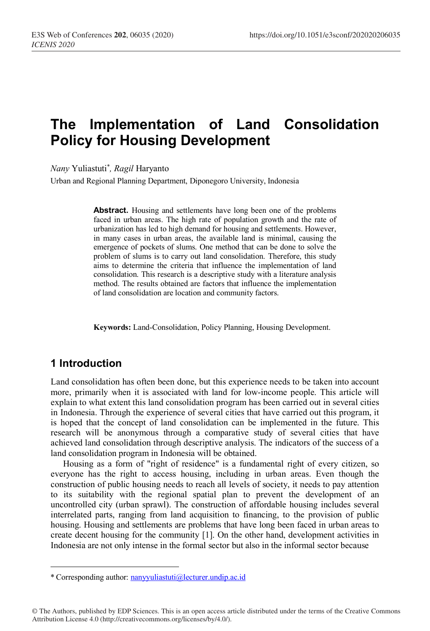# **The Implementation of Land Consolidation Policy for Housing Development**

*Nany* Yuliastuti\* *, Ragil* Haryanto

Urban and Regional Planning Department, Diponegoro University, Indonesia

**Abstract.** Housing and settlements have long been one of the problems faced in urban areas. The high rate of population growth and the rate of urbanization has led to high demand for housing and settlements. However, in many cases in urban areas, the available land is minimal, causing the emergence of pockets of slums. One method that can be done to solve the problem of slums is to carry out land consolidation. Therefore, this study aims to determine the criteria that influence the implementation of land consolidation. This research is a descriptive study with a literature analysis method. The results obtained are factors that influence the implementation of land consolidation are location and community factors.

**Keywords:** Land-Consolidation, Policy Planning, Housing Development.

## **1 Introduction**

Land consolidation has often been done, but this experience needs to be taken into account more, primarily when it is associated with land for low-income people. This article will explain to what extent this land consolidation program has been carried out in several cities in Indonesia. Through the experience of several cities that have carried out this program, it is hoped that the concept of land consolidation can be implemented in the future. This research will be anonymous through a comparative study of several cities that have achieved land consolidation through descriptive analysis. The indicators of the success of a land consolidation program in Indonesia will be obtained.

Housing as a form of "right of residence" is a fundamental right of every citizen, so everyone has the right to access housing, including in urban areas. Even though the construction of public housing needs to reach all levels of society, it needs to pay attention to its suitability with the regional spatial plan to prevent the development of an uncontrolled city (urban sprawl). The construction of affordable housing includes several interrelated parts, ranging from land acquisition to financing, to the provision of public housing. Housing and settlements are problems that have long been faced in urban areas to create decent housing for the community [1]. On the other hand, development activities in Indonesia are not only intense in the formal sector but also in the informal sector because

<sup>\*</sup> Corresponding author: nanyyuliastuti@lecturer.undip.ac.id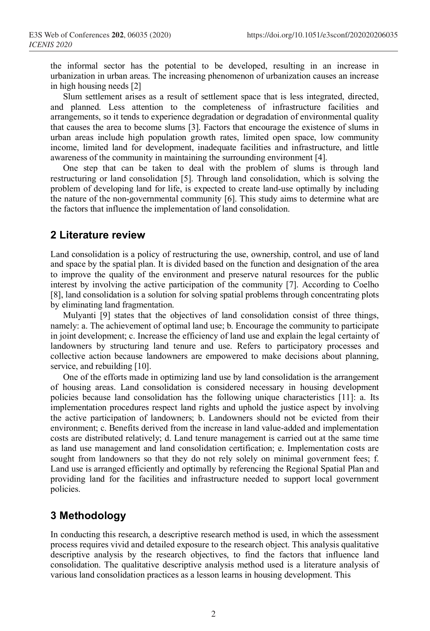the informal sector has the potential to be developed, resulting in an increase in urbanization in urban areas. The increasing phenomenon of urbanization causes an increase in high housing needs [2]

Slum settlement arises as a result of settlement space that is less integrated, directed, and planned. Less attention to the completeness of infrastructure facilities and arrangements, so it tends to experience degradation or degradation of environmental quality that causes the area to become slums [3]. Factors that encourage the existence of slums in urban areas include high population growth rates, limited open space, low community income, limited land for development, inadequate facilities and infrastructure, and little awareness of the community in maintaining the surrounding environment [4].

One step that can be taken to deal with the problem of slums is through land restructuring or land consolidation [5]. Through land consolidation, which is solving the problem of developing land for life, is expected to create land-use optimally by including the nature of the non-governmental community [6]. This study aims to determine what are the factors that influence the implementation of land consolidation.

#### **2 Literature review**

Land consolidation is a policy of restructuring the use, ownership, control, and use of land and space by the spatial plan. It is divided based on the function and designation of the area to improve the quality of the environment and preserve natural resources for the public interest by involving the active participation of the community [7]. According to Coelho [8], land consolidation is a solution for solving spatial problems through concentrating plots by eliminating land fragmentation.

Mulyanti [9] states that the objectives of land consolidation consist of three things, namely: a. The achievement of optimal land use; b. Encourage the community to participate in joint development; c. Increase the efficiency of land use and explain the legal certainty of landowners by structuring land tenure and use. Refers to participatory processes and collective action because landowners are empowered to make decisions about planning, service, and rebuilding [10].

One of the efforts made in optimizing land use by land consolidation is the arrangement of housing areas. Land consolidation is considered necessary in housing development policies because land consolidation has the following unique characteristics [11]: a. Its implementation procedures respect land rights and uphold the justice aspect by involving the active participation of landowners; b. Landowners should not be evicted from their environment; c. Benefits derived from the increase in land value-added and implementation costs are distributed relatively; d. Land tenure management is carried out at the same time as land use management and land consolidation certification; e. Implementation costs are sought from landowners so that they do not rely solely on minimal government fees; f. Land use is arranged efficiently and optimally by referencing the Regional Spatial Plan and providing land for the facilities and infrastructure needed to support local government policies.

# **3 Methodology**

In conducting this research, a descriptive research method is used, in which the assessment process requires vivid and detailed exposure to the research object. This analysis qualitative descriptive analysis by the research objectives, to find the factors that influence land consolidation. The qualitative descriptive analysis method used is a literature analysis of various land consolidation practices as a lesson learns in housing development. This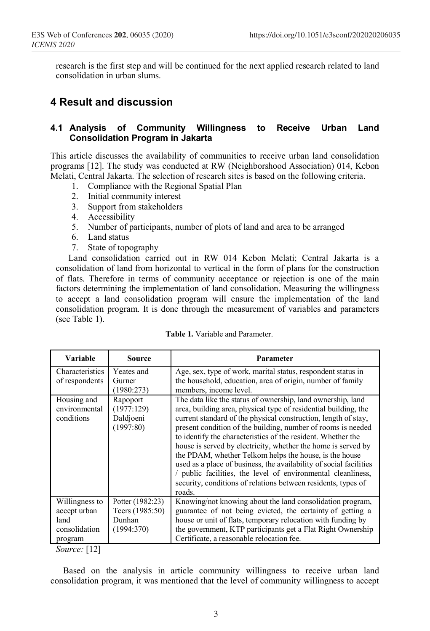research is the first step and will be continued for the next applied research related to land consolidation in urban slums.

### **4 Result and discussion**

#### **4.1 Analysis of Community Willingness to Receive Urban Land Consolidation Program in Jakarta**

This article discusses the availability of communities to receive urban land consolidation programs [12]. The study was conducted at RW (Neighborshood Association) 014, Kebon Melati, Central Jakarta. The selection of research sites is based on the following criteria.

- 1. Compliance with the Regional Spatial Plan
- 2. Initial community interest
- 3. Support from stakeholders
- 4. Accessibility
- 5. Number of participants, number of plots of land and area to be arranged
- 6. Land status
- 7. State of topography

Land consolidation carried out in RW 014 Kebon Melati; Central Jakarta is a consolidation of land from horizontal to vertical in the form of plans for the construction of flats. Therefore in terms of community acceptance or rejection is one of the main factors determining the implementation of land consolidation. Measuring the willingness to accept a land consolidation program will ensure the implementation of the land consolidation program. It is done through the measurement of variables and parameters (see Table 1).

| <b>Variable</b>                                                    | Source                                                      | Parameter                                                                                                                                                                                                                                                                                                                                                                                                                                                                                                                                                                                                                                                                    |
|--------------------------------------------------------------------|-------------------------------------------------------------|------------------------------------------------------------------------------------------------------------------------------------------------------------------------------------------------------------------------------------------------------------------------------------------------------------------------------------------------------------------------------------------------------------------------------------------------------------------------------------------------------------------------------------------------------------------------------------------------------------------------------------------------------------------------------|
| Characteristics<br>of respondents                                  | Yeates and<br>Gurner<br>(1980:273)                          | Age, sex, type of work, marital status, respondent status in<br>the household, education, area of origin, number of family<br>members, income level.                                                                                                                                                                                                                                                                                                                                                                                                                                                                                                                         |
| Housing and<br>environmental<br>conditions                         | Rapoport<br>(1977:129)<br>Daldjoeni<br>(1997:80)            | The data like the status of ownership, land ownership, land<br>area, building area, physical type of residential building, the<br>current standard of the physical construction, length of stay,<br>present condition of the building, number of rooms is needed<br>to identify the characteristics of the resident. Whether the<br>house is served by electricity, whether the home is served by<br>the PDAM, whether Telkom helps the house, is the house<br>used as a place of business, the availability of social facilities<br>/ public facilities, the level of environmental cleanliness,<br>security, conditions of relations between residents, types of<br>roads. |
| Willingness to<br>accept urban<br>land<br>consolidation<br>program | Potter (1982:23)<br>Teers (1985:50)<br>Dunhan<br>(1994:370) | Knowing/not knowing about the land consolidation program,<br>guarantee of not being evicted, the certainty of getting a<br>house or unit of flats, temporary relocation with funding by<br>the government, KTP participants get a Flat Right Ownership<br>Certificate, a reasonable relocation fee.                                                                                                                                                                                                                                                                                                                                                                          |

|  | <b>Table 1.</b> Variable and Parameter. |  |
|--|-----------------------------------------|--|
|--|-----------------------------------------|--|

*Source:* [12]

Based on the analysis in article community willingness to receive urban land consolidation program, it was mentioned that the level of community willingness to accept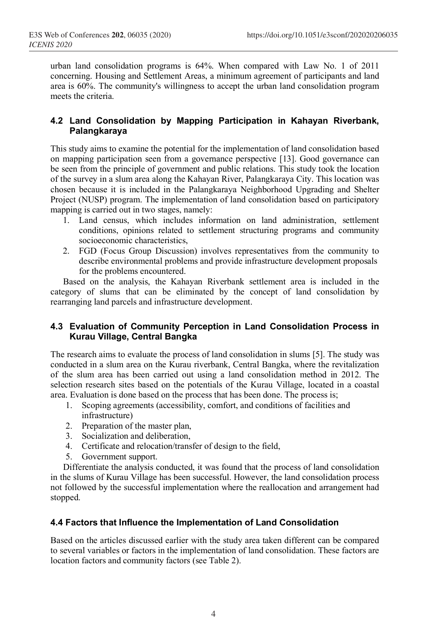urban land consolidation programs is 64%. When compared with Law No. 1 of 2011 concerning. Housing and Settlement Areas, a minimum agreement of participants and land area is 60%. The community's willingness to accept the urban land consolidation program meets the criteria.

#### **4.2 Land Consolidation by Mapping Participation in Kahayan Riverbank, Palangkaraya**

This study aims to examine the potential for the implementation of land consolidation based on mapping participation seen from a governance perspective [13]. Good governance can be seen from the principle of government and public relations. This study took the location of the survey in a slum area along the Kahayan River, Palangkaraya City. This location was chosen because it is included in the Palangkaraya Neighborhood Upgrading and Shelter Project (NUSP) program. The implementation of land consolidation based on participatory mapping is carried out in two stages, namely:

- 1. Land census, which includes information on land administration, settlement conditions, opinions related to settlement structuring programs and community socioeconomic characteristics,
- 2. FGD (Focus Group Discussion) involves representatives from the community to describe environmental problems and provide infrastructure development proposals for the problems encountered.

Based on the analysis, the Kahayan Riverbank settlement area is included in the category of slums that can be eliminated by the concept of land consolidation by rearranging land parcels and infrastructure development.

#### **4.3 Evaluation of Community Perception in Land Consolidation Process in Kurau Village, Central Bangka**

The research aims to evaluate the process of land consolidation in slums [5]. The study was conducted in a slum area on the Kurau riverbank, Central Bangka, where the revitalization of the slum area has been carried out using a land consolidation method in 2012. The selection research sites based on the potentials of the Kurau Village, located in a coastal area. Evaluation is done based on the process that has been done. The process is;

- 1. Scoping agreements (accessibility, comfort, and conditions of facilities and infrastructure)
- 2. Preparation of the master plan,
- 3. Socialization and deliberation,
- 4. Certificate and relocation/transfer of design to the field,
- 5. Government support.

Differentiate the analysis conducted, it was found that the process of land consolidation in the slums of Kurau Village has been successful. However, the land consolidation process not followed by the successful implementation where the reallocation and arrangement had stopped.

#### **4.4 Factors that Influence the Implementation of Land Consolidation**

Based on the articles discussed earlier with the study area taken different can be compared to several variables or factors in the implementation of land consolidation. These factors are location factors and community factors (see Table 2).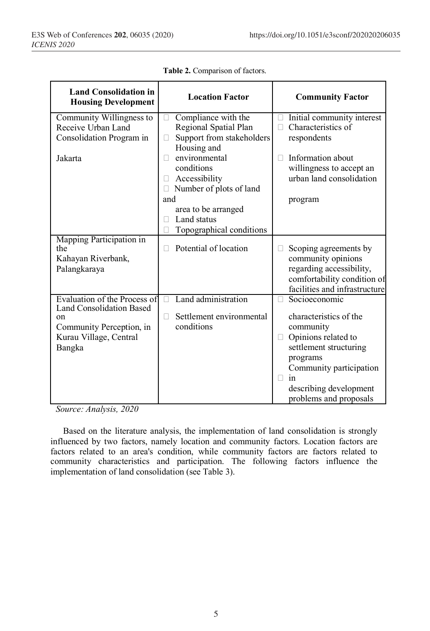| <b>Land Consolidation in</b><br><b>Housing Development</b> | <b>Location Factor</b>            | <b>Community Factor</b>                     |  |
|------------------------------------------------------------|-----------------------------------|---------------------------------------------|--|
| Community Willingness to                                   | Compliance with the               | Initial community interest                  |  |
| Receive Urban Land                                         | Regional Spatial Plan             | Characteristics of                          |  |
| Consolidation Program in                                   | Support from stakeholders<br>Н    | respondents                                 |  |
|                                                            | Housing and                       |                                             |  |
| Jakarta                                                    | environmental                     | Information about                           |  |
|                                                            | conditions                        | willingness to accept an                    |  |
|                                                            | Accessibility<br>П                | urban land consolidation                    |  |
|                                                            | Number of plots of land<br>$\Box$ |                                             |  |
|                                                            | and                               | program                                     |  |
|                                                            | area to be arranged               |                                             |  |
|                                                            | Land status                       |                                             |  |
|                                                            | Topographical conditions          |                                             |  |
| Mapping Participation in<br>the                            | Potential of location             |                                             |  |
| Kahayan Riverbank,                                         |                                   | Scoping agreements by<br>community opinions |  |
| Palangkaraya                                               |                                   | regarding accessibility,                    |  |
|                                                            |                                   | comfortability condition of                 |  |
|                                                            |                                   | facilities and infrastructure               |  |
| Evaluation of the Process of                               | Land administration<br>П          | Socioeconomic                               |  |
| <b>Land Consolidation Based</b>                            |                                   |                                             |  |
| on                                                         | Settlement environmental<br>П     | characteristics of the                      |  |
| Community Perception, in                                   | conditions                        | community                                   |  |
| Kurau Village, Central                                     |                                   | Opinions related to                         |  |
| Bangka                                                     |                                   | settlement structuring                      |  |
|                                                            |                                   | programs                                    |  |
|                                                            |                                   | Community participation                     |  |
|                                                            |                                   | in                                          |  |
|                                                            |                                   | describing development                      |  |
|                                                            |                                   | problems and proposals                      |  |

**Table 2.** Comparison of factors.

*Source: Analysis, 2020*

Based on the literature analysis, the implementation of land consolidation is strongly influenced by two factors, namely location and community factors. Location factors are factors related to an area's condition, while community factors are factors related to community characteristics and participation. The following factors influence the implementation of land consolidation (see Table 3).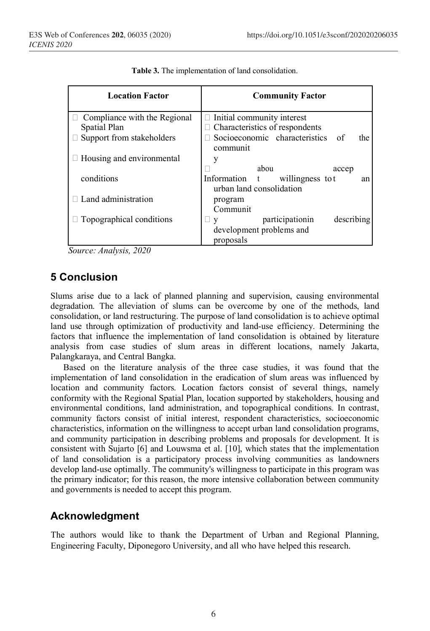| <b>Location Factor</b>           | <b>Community Factor</b>                                             |  |  |
|----------------------------------|---------------------------------------------------------------------|--|--|
| Compliance with the Regional     | $\Box$ Initial community interest                                   |  |  |
| Spatial Plan                     | $\Box$ Characteristics of respondents                               |  |  |
| Support from stakeholders        | Socioeconomic characteristics of<br>the<br>communit                 |  |  |
| $\Box$ Housing and environmental | V                                                                   |  |  |
|                                  | abou<br>accep                                                       |  |  |
| conditions                       | Information t<br>willingness to t<br>an<br>urban land consolidation |  |  |
| Land administration              | program                                                             |  |  |
|                                  | Communit                                                            |  |  |
| $\Box$ Topographical conditions  | participationin<br>describing<br>Ш.<br>V                            |  |  |
|                                  | development problems and                                            |  |  |
|                                  | proposals                                                           |  |  |

**Table 3.** The implementation of land consolidation.

*Source: Analysis, 2020*

# **5 Conclusion**

Slums arise due to a lack of planned planning and supervision, causing environmental degradation. The alleviation of slums can be overcome by one of the methods, land consolidation, or land restructuring. The purpose of land consolidation is to achieve optimal land use through optimization of productivity and land-use efficiency. Determining the factors that influence the implementation of land consolidation is obtained by literature analysis from case studies of slum areas in different locations, namely Jakarta, Palangkaraya, and Central Bangka.

Based on the literature analysis of the three case studies, it was found that the implementation of land consolidation in the eradication of slum areas was influenced by location and community factors. Location factors consist of several things, namely conformity with the Regional Spatial Plan, location supported by stakeholders, housing and environmental conditions, land administration, and topographical conditions. In contrast, community factors consist of initial interest, respondent characteristics, socioeconomic characteristics, information on the willingness to accept urban land consolidation programs, and community participation in describing problems and proposals for development. It is consistent with Sujarto [6] and Louwsma et al. [10], which states that the implementation of land consolidation is a participatory process involving communities as landowners develop land-use optimally. The community's willingness to participate in this program was the primary indicator; for this reason, the more intensive collaboration between community and governments is needed to accept this program.

# **Acknowledgment**

The authors would like to thank the Department of Urban and Regional Planning, Engineering Faculty, Diponegoro University, and all who have helped this research.